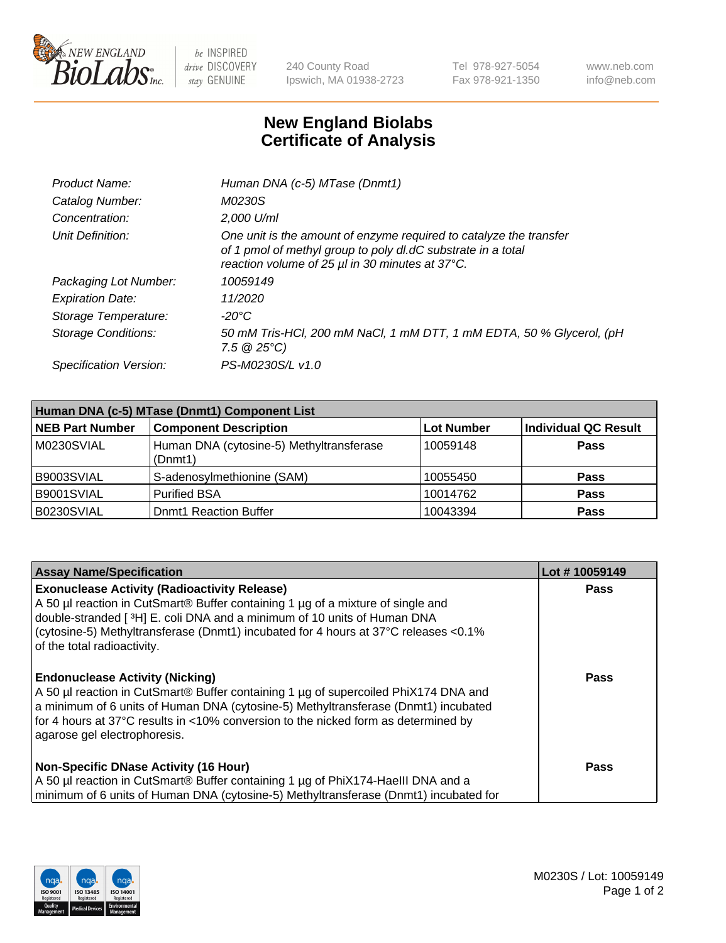

 $be$  INSPIRED drive DISCOVERY stay GENUINE

240 County Road Ipswich, MA 01938-2723 Tel 978-927-5054 Fax 978-921-1350 www.neb.com info@neb.com

## **New England Biolabs Certificate of Analysis**

| Product Name:           | Human DNA (c-5) MTase (Dnmt1)                                                                                                                                                         |
|-------------------------|---------------------------------------------------------------------------------------------------------------------------------------------------------------------------------------|
| Catalog Number:         | M0230S                                                                                                                                                                                |
| Concentration:          | 2,000 U/ml                                                                                                                                                                            |
| Unit Definition:        | One unit is the amount of enzyme required to catalyze the transfer<br>of 1 pmol of methyl group to poly dl.dC substrate in a total<br>reaction volume of 25 µl in 30 minutes at 37°C. |
| Packaging Lot Number:   | 10059149                                                                                                                                                                              |
| <b>Expiration Date:</b> | 11/2020                                                                                                                                                                               |
| Storage Temperature:    | $-20^{\circ}$ C                                                                                                                                                                       |
| Storage Conditions:     | 50 mM Tris-HCl, 200 mM NaCl, 1 mM DTT, 1 mM EDTA, 50 % Glycerol, (pH<br>7.5 $@25°C$ )                                                                                                 |
| Specification Version:  | PS-M0230S/L v1.0                                                                                                                                                                      |

| Human DNA (c-5) MTase (Dnmt1) Component List |                                                     |                   |                      |  |  |
|----------------------------------------------|-----------------------------------------------------|-------------------|----------------------|--|--|
| <b>NEB Part Number</b>                       | <b>Component Description</b>                        | <b>Lot Number</b> | Individual QC Result |  |  |
| M0230SVIAL                                   | Human DNA (cytosine-5) Methyltransferase<br>(Dnmt1) | 10059148          | Pass                 |  |  |
| B9003SVIAL                                   | S-adenosylmethionine (SAM)                          | 10055450          | <b>Pass</b>          |  |  |
| B9001SVIAL                                   | <b>Purified BSA</b>                                 | 10014762          | <b>Pass</b>          |  |  |
| B0230SVIAL                                   | <b>Domt1 Reaction Buffer</b>                        | 10043394          | <b>Pass</b>          |  |  |

| <b>Assay Name/Specification</b>                                                                                                                                                                                                                                                                                                             | Lot #10059149 |
|---------------------------------------------------------------------------------------------------------------------------------------------------------------------------------------------------------------------------------------------------------------------------------------------------------------------------------------------|---------------|
| <b>Exonuclease Activity (Radioactivity Release)</b><br>A 50 µl reaction in CutSmart® Buffer containing 1 µg of a mixture of single and<br>double-stranded [ $3H$ ] E. coli DNA and a minimum of 10 units of Human DNA<br>(cytosine-5) Methyltransferase (Dnmt1) incubated for 4 hours at 37°C releases <0.1%<br>of the total radioactivity. | Pass          |
| <b>Endonuclease Activity (Nicking)</b><br>A 50 µl reaction in CutSmart® Buffer containing 1 µg of supercoiled PhiX174 DNA and<br>a minimum of 6 units of Human DNA (cytosine-5) Methyltransferase (Dnmt1) incubated<br>for 4 hours at 37°C results in <10% conversion to the nicked form as determined by<br>agarose gel electrophoresis.   | <b>Pass</b>   |
| <b>Non-Specific DNase Activity (16 Hour)</b><br>A 50 µl reaction in CutSmart® Buffer containing 1 µg of PhiX174-HaellI DNA and a<br>minimum of 6 units of Human DNA (cytosine-5) Methyltransferase (Dnmt1) incubated for                                                                                                                    | Pass          |